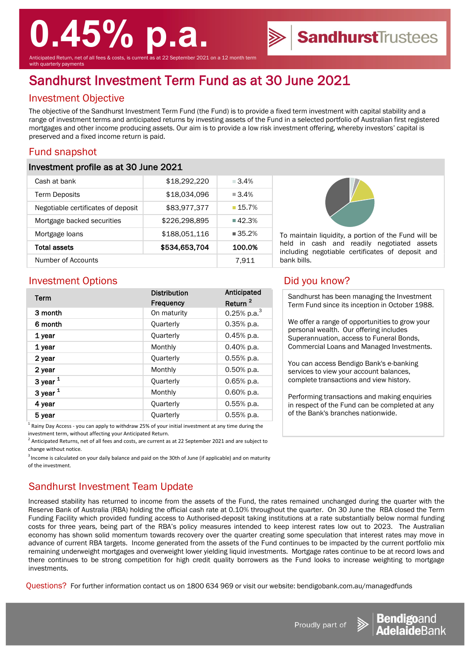# **0.45% p.a.**

Anticipated Return, net of all fees & costs, is current as at 22 September 2021 on a 12 month term vith quarterly payments

# Sandhurst Investment Term Fund as at 30 June 2021

### Investment Objective

The objective of the Sandhurst Investment Term Fund (the Fund) is to provide a fixed term investment with capital stability and a range of investment terms and anticipated returns by investing assets of the Fund in a selected portfolio of Australian first registered mortgages and other income producing assets. Our aim is to provide a low risk investment offering, whereby investors' capital is preserved and a fixed income return is paid.

## Fund snapshot

#### Investment profile as at 30 June 2021

| Cash at bank                       | \$18,292,220  | $-3.4%$              |
|------------------------------------|---------------|----------------------|
| <b>Term Deposits</b>               | \$18,034,096  | $\blacksquare$ 3.4%  |
| Negotiable certificates of deposit | \$83,977,377  | 15.7%                |
| Mortgage backed securities         | \$226,298,895 | $\blacksquare$ 42.3% |
| Mortgage loans                     | \$188,051,116 | $\blacksquare$ 35.2% |
| Total assets                       | \$534,653,704 | 100.0%               |
| Number of Accounts                 |               | 7.911                |



To maintain liquidity, a portion of the Fund will be held in cash and readily negotiated assets including negotiable certificates of deposit and bank bills.

**Sandhurst**Trustees

### Investment Options **Did you know?**

| Term             | <b>Distribution</b> | Anticipated         |
|------------------|---------------------|---------------------|
|                  | <b>Frequency</b>    | Return <sup>2</sup> |
| 3 month          | On maturity         | 0.25% p.a. $3$      |
| 6 month          | Quarterly           | $0.35%$ p.a.        |
| 1 year           | Quarterly           | $0.45%$ p.a.        |
| 1 year           | Monthly             | 0.40% p.a.          |
| 2 year           | Quarterly           | 0.55% p.a.          |
| 2 year           | Monthly             | $0.50\%$ p.a.       |
| 3 year $1$       | Quarterly           | $0.65%$ p.a.        |
| 3 year $1$       | Monthly             | 0.60% p.a.          |
| 4 year           | Quarterly           | $0.55%$ p.a.        |
| 5 year           | Quarterly           | $0.55%$ p.a.        |
| $1 \quad \cdots$ |                     |                     |

1 Rainy Day Access - you can apply to withdraw 25% of your initial investment at any time during the investment term, without affecting your Anticipated Return.

 $^2$  Anticipated Returns, net of all fees and costs, are current as at 22 September 2021 and are subject to change without notice.

<sup>3</sup> Income is calculated on your daily balance and paid on the 30th of June (if applicable) and on maturity of the investment.

# Sandhurst Investment Team Update

Increased stability has returned to income from the assets of the Fund, the rates remained unchanged during the quarter with the Reserve Bank of Australia (RBA) holding the official cash rate at 0.10% throughout the quarter. On 30 June the RBA closed the Term Funding Facility which provided funding access to Authorised-deposit taking institutions at a rate substantially below normal funding costs for three years, being part of the RBA's policy measures intended to keep interest rates low out to 2023. The Australian economy has shown solid momentum towards recovery over the quarter creating some speculation that interest rates may move in advance of current RBA targets. Income generated from the assets of the Fund continues to be impacted by the current portfolio mix remaining underweight mortgages and overweight lower yielding liquid investments. Mortgage rates continue to be at record lows and there continues to be strong competition for high credit quality borrowers as the Fund looks to increase weighting to mortgage investments.

Questions? For further information contact us on 1800 634 969 or visit our website: bendigobank.com.au/managedfunds

Sandhurst has been managing the Investment Term Fund since its inception in October 1988.

We offer a range of opportunities to grow your personal wealth. Our offering includes Superannuation, access to Funeral Bonds, Commercial Loans and Managed Investments.

You can access Bendigo Bank's e-banking services to view your account balances, complete transactions and view history.

Performing transactions and making enquiries in respect of the Fund can be completed at any of the Bank's branches nationwide.



Proudly part of